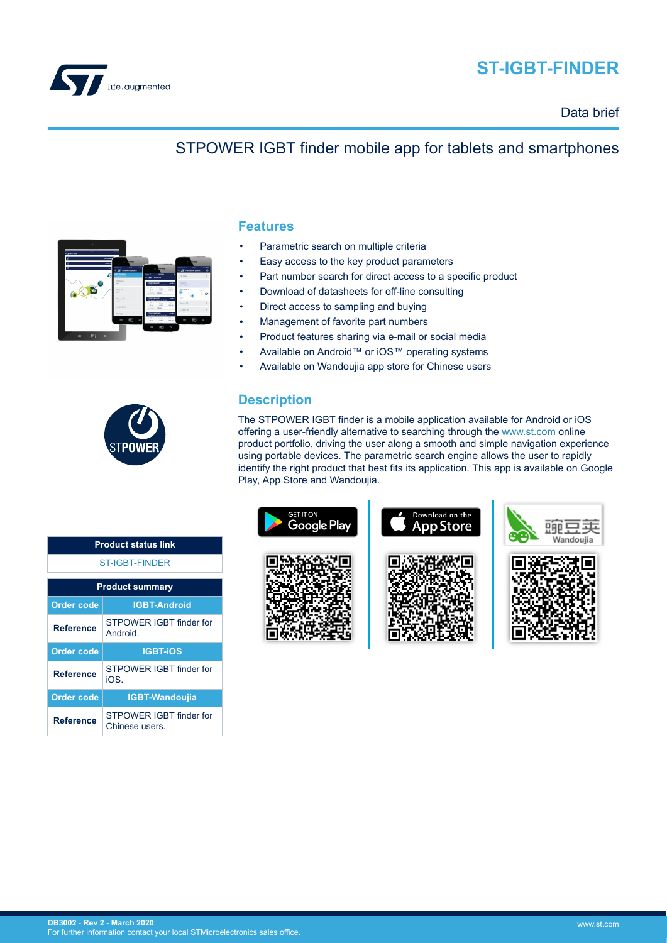

# **ST-IGBT-FINDER**

Data brief

## STPOWER IGBT finder mobile app for tablets and smartphones



### **Features**

- Parametric search on multiple criteria
- Easy access to the key product parameters
- Part number search for direct access to a specific product
- Download of datasheets for off-line consulting
- Direct access to sampling and buying
- Management of favorite part numbers
- Product features sharing via e-mail or social media
- Available on Android™ or iOS™ operating systems
- Available on Wandoujia app store for Chinese users



The STPOWER IGBT finder is a mobile application available for Android or iOS offering a user-friendly alternative to searching through the [www.st.com](https://www.st.com) online product portfolio, driving the user along a smooth and simple navigation experience using portable devices. The parametric search engine allows the user to rapidly identify the right product that best fits its application. This app is available on Google Play, App Store and Wandoujia.





**Reference** STPOWER IGBT finder for Chinese users.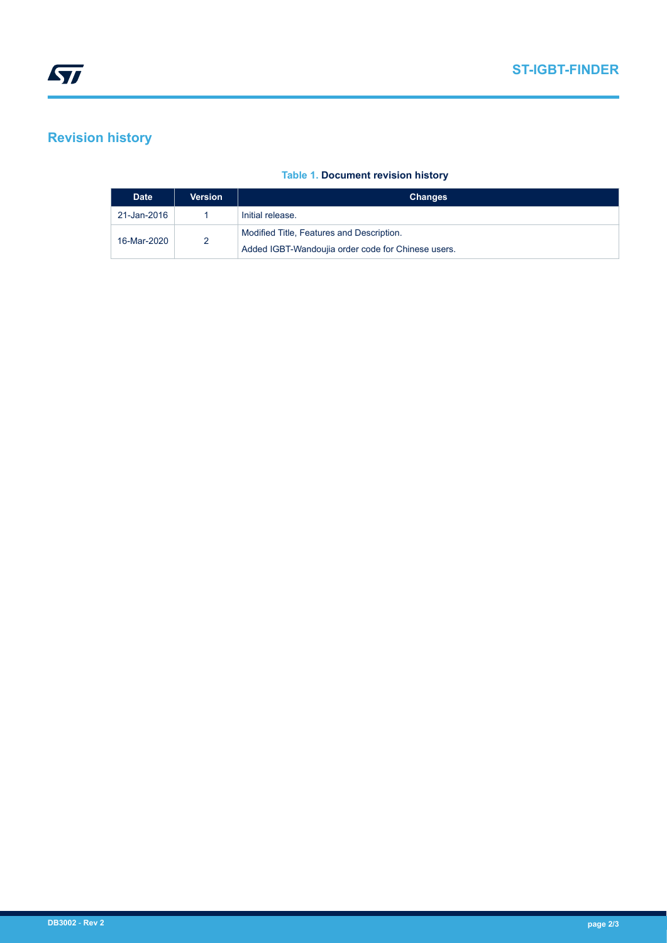## **Revision history**

#### **Table 1. Document revision history**

| <b>Date</b> | Version | <b>Changes</b>                                     |
|-------------|---------|----------------------------------------------------|
| 21-Jan-2016 |         | Initial release.                                   |
| 16-Mar-2020 | 2       | Modified Title, Features and Description.          |
|             |         | Added IGBT-Wandoujia order code for Chinese users. |